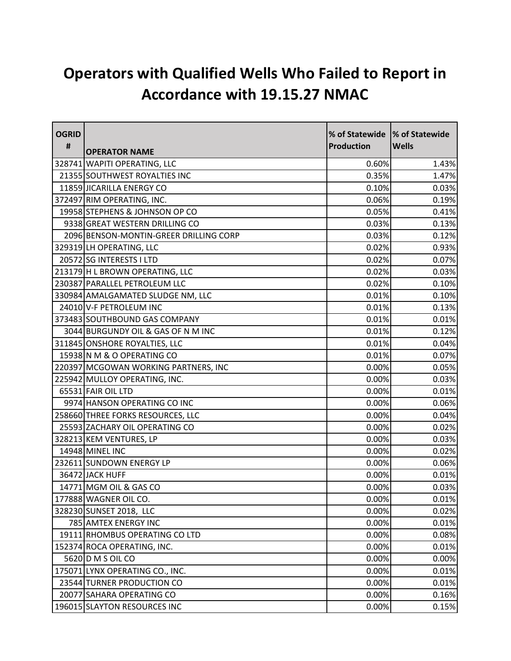## **Operators with Qualified Wells Who Failed to Report in Accordance with 19.15.27 NMAC**

| <b>OGRID</b> |                                        | % of Statewide  % of Statewide |              |
|--------------|----------------------------------------|--------------------------------|--------------|
| #            | <b>OPERATOR NAME</b>                   | <b>Production</b>              | <b>Wells</b> |
|              | 328741 WAPITI OPERATING, LLC           | 0.60%                          | 1.43%        |
|              | 21355 SOUTHWEST ROYALTIES INC          | 0.35%                          | 1.47%        |
|              | 11859 JICARILLA ENERGY CO              | 0.10%                          | 0.03%        |
|              | 372497 RIM OPERATING, INC.             | 0.06%                          | 0.19%        |
|              | 19958 STEPHENS & JOHNSON OP CO         | 0.05%                          | 0.41%        |
|              | 9338 GREAT WESTERN DRILLING CO         | 0.03%                          | 0.13%        |
|              | 2096 BENSON-MONTIN-GREER DRILLING CORP | 0.03%                          | 0.12%        |
|              | 329319 LH OPERATING, LLC               | 0.02%                          | 0.93%        |
|              | 20572 SG INTERESTS I LTD               | 0.02%                          | 0.07%        |
|              | 213179 H L BROWN OPERATING, LLC        | 0.02%                          | 0.03%        |
|              | 230387 PARALLEL PETROLEUM LLC          | 0.02%                          | 0.10%        |
|              | 330984 AMALGAMATED SLUDGE NM, LLC      | 0.01%                          | 0.10%        |
|              | 24010 V-F PETROLEUM INC                | 0.01%                          | 0.13%        |
|              | 373483 SOUTHBOUND GAS COMPANY          | 0.01%                          | 0.01%        |
|              | 3044 BURGUNDY OIL & GAS OF N M INC     | 0.01%                          | 0.12%        |
|              | 311845 ONSHORE ROYALTIES, LLC          | 0.01%                          | 0.04%        |
|              | 15938 N M & O OPERATING CO             | 0.01%                          | 0.07%        |
|              | 220397 MCGOWAN WORKING PARTNERS, INC   | 0.00%                          | 0.05%        |
|              | 225942 MULLOY OPERATING, INC.          | 0.00%                          | 0.03%        |
|              | 65531 FAIR OIL LTD                     | 0.00%                          | 0.01%        |
|              | 9974 HANSON OPERATING CO INC           | 0.00%                          | 0.06%        |
|              | 258660 THREE FORKS RESOURCES, LLC      | 0.00%                          | 0.04%        |
|              | 25593 ZACHARY OIL OPERATING CO         | 0.00%                          | 0.02%        |
|              | 328213 KEM VENTURES, LP                | 0.00%                          | 0.03%        |
|              | 14948 MINEL INC                        | 0.00%                          | 0.02%        |
|              | 232611 SUNDOWN ENERGY LP               | 0.00%                          | 0.06%        |
|              | 36472 JACK HUFF                        | 0.00%                          | 0.01%        |
|              | 14771 MGM OIL & GAS CO                 | 0.00%                          | 0.03%        |
|              | 177888 WAGNER OIL CO.                  | 0.00%                          | 0.01%        |
|              | 328230 SUNSET 2018, LLC                | 0.00%                          | 0.02%        |
|              | 785 AMTEX ENERGY INC                   | 0.00%                          | 0.01%        |
|              | 19111 RHOMBUS OPERATING CO LTD         | 0.00%                          | 0.08%        |
|              | 152374 ROCA OPERATING, INC.            | 0.00%                          | 0.01%        |
|              | 5620 D M S OIL CO                      | 0.00%                          | 0.00%        |
|              | 175071 LYNX OPERATING CO., INC.        | 0.00%                          | 0.01%        |
|              | 23544 TURNER PRODUCTION CO             | 0.00%                          | 0.01%        |
|              | 20077 SAHARA OPERATING CO              | 0.00%                          | 0.16%        |
|              | 196015 SLAYTON RESOURCES INC           | 0.00%                          | 0.15%        |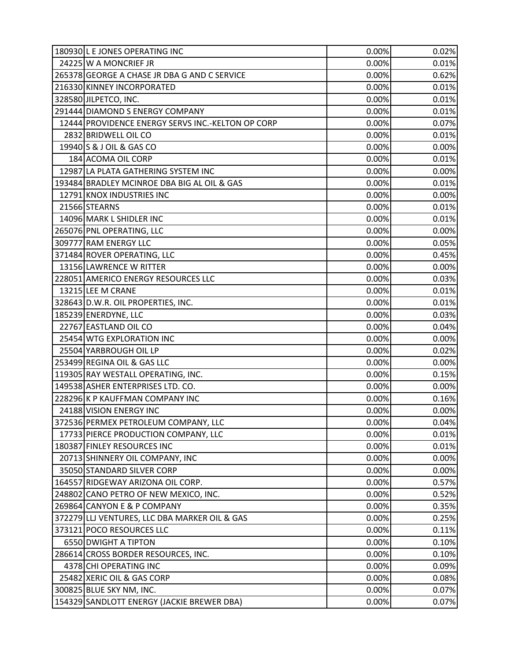| 180930 L E JONES OPERATING INC                    | 0.00% | 0.02% |
|---------------------------------------------------|-------|-------|
| 24225 W A MONCRIEF JR                             | 0.00% | 0.01% |
| 265378 GEORGE A CHASE JR DBA G AND C SERVICE      | 0.00% | 0.62% |
| 216330 KINNEY INCORPORATED                        | 0.00% | 0.01% |
| 328580 JILPETCO, INC.                             | 0.00% | 0.01% |
| 291444 DIAMOND S ENERGY COMPANY                   | 0.00% | 0.01% |
| 12444 PROVIDENCE ENERGY SERVS INC.-KELTON OP CORP | 0.00% | 0.07% |
| 2832 BRIDWELL OIL CO                              | 0.00% | 0.01% |
| 19940 S & J OIL & GAS CO                          | 0.00% | 0.00% |
| 184 ACOMA OIL CORP                                | 0.00% | 0.01% |
| 12987 LA PLATA GATHERING SYSTEM INC               | 0.00% | 0.00% |
| 193484 BRADLEY MCINROE DBA BIG AL OIL & GAS       | 0.00% | 0.01% |
| 12791 KNOX INDUSTRIES INC                         | 0.00% | 0.00% |
| 21566 STEARNS                                     | 0.00% | 0.01% |
| 14096 MARK L SHIDLER INC                          | 0.00% | 0.01% |
| 265076 PNL OPERATING, LLC                         | 0.00% | 0.00% |
| 309777 RAM ENERGY LLC                             | 0.00% | 0.05% |
| 371484 ROVER OPERATING, LLC                       | 0.00% | 0.45% |
| 13156 LAWRENCE W RITTER                           | 0.00% | 0.00% |
| 228051 AMERICO ENERGY RESOURCES LLC               | 0.00% | 0.03% |
| 13215 LEE M CRANE                                 | 0.00% | 0.01% |
| 328643 D.W.R. OIL PROPERTIES, INC.                | 0.00% | 0.01% |
| 185239 ENERDYNE, LLC                              | 0.00% | 0.03% |
| 22767 EASTLAND OIL CO                             | 0.00% | 0.04% |
| 25454 WTG EXPLORATION INC                         | 0.00% | 0.00% |
| 25504 YARBROUGH OIL LP                            | 0.00% | 0.02% |
| 253499 REGINA OIL & GAS LLC                       | 0.00% | 0.00% |
| 119305 RAY WESTALL OPERATING, INC.                | 0.00% | 0.15% |
| 149538 ASHER ENTERPRISES LTD. CO.                 | 0.00% | 0.00% |
| 228296 K P KAUFFMAN COMPANY INC                   | 0.00% | 0.16% |
| 24188 VISION ENERGY INC                           | 0.00% | 0.00% |
| 372536 PERMEX PETROLEUM COMPANY, LLC              | 0.00% | 0.04% |
| 17733 PIERCE PRODUCTION COMPANY, LLC              | 0.00% | 0.01% |
| 180387 FINLEY RESOURCES INC                       | 0.00% | 0.01% |
| 20713 SHINNERY OIL COMPANY, INC                   | 0.00% | 0.00% |
| 35050 STANDARD SILVER CORP                        | 0.00% | 0.00% |
| 164557 RIDGEWAY ARIZONA OIL CORP.                 | 0.00% | 0.57% |
| 248802 CANO PETRO OF NEW MEXICO, INC.             | 0.00% | 0.52% |
| 269864 CANYON E & P COMPANY                       | 0.00% | 0.35% |
| 372279 LLJ VENTURES, LLC DBA MARKER OIL & GAS     | 0.00% | 0.25% |
| 373121 POCO RESOURCES LLC                         | 0.00% | 0.11% |
| 6550 DWIGHT A TIPTON                              | 0.00% | 0.10% |
| 286614 CROSS BORDER RESOURCES, INC.               | 0.00% | 0.10% |
| 4378 CHI OPERATING INC                            | 0.00% | 0.09% |
| 25482 XERIC OIL & GAS CORP                        | 0.00% | 0.08% |
| 300825 BLUE SKY NM, INC.                          | 0.00% | 0.07% |
| 154329 SANDLOTT ENERGY (JACKIE BREWER DBA)        | 0.00% | 0.07% |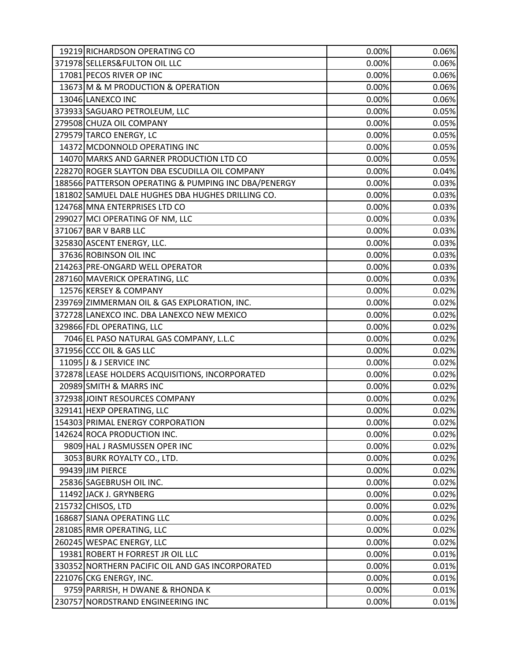| 19219 RICHARDSON OPERATING CO                        | 0.00% | 0.06% |
|------------------------------------------------------|-------|-------|
| 371978 SELLERS& FULTON OIL LLC                       | 0.00% | 0.06% |
| 17081 PECOS RIVER OP INC                             | 0.00% | 0.06% |
| 13673 M & M PRODUCTION & OPERATION                   | 0.00% | 0.06% |
| 13046 LANEXCO INC                                    | 0.00% | 0.06% |
| 373933 SAGUARO PETROLEUM, LLC                        | 0.00% | 0.05% |
| 279508 CHUZA OIL COMPANY                             | 0.00% | 0.05% |
| 279579 TARCO ENERGY, LC                              | 0.00% | 0.05% |
| 14372 MCDONNOLD OPERATING INC                        | 0.00% | 0.05% |
| 14070 MARKS AND GARNER PRODUCTION LTD CO             | 0.00% | 0.05% |
| 228270 ROGER SLAYTON DBA ESCUDILLA OIL COMPANY       | 0.00% | 0.04% |
| 188566 PATTERSON OPERATING & PUMPING INC DBA/PENERGY | 0.00% | 0.03% |
| 181802 SAMUEL DALE HUGHES DBA HUGHES DRILLING CO.    | 0.00% | 0.03% |
| 124768 MNA ENTERPRISES LTD CO                        | 0.00% | 0.03% |
| 299027 MCI OPERATING OF NM, LLC                      | 0.00% | 0.03% |
| 371067 BAR V BARB LLC                                | 0.00% | 0.03% |
| 325830 ASCENT ENERGY, LLC.                           | 0.00% | 0.03% |
| 37636 ROBINSON OIL INC                               | 0.00% | 0.03% |
| 214263 PRE-ONGARD WELL OPERATOR                      | 0.00% | 0.03% |
| 287160 MAVERICK OPERATING, LLC                       | 0.00% | 0.03% |
| 12576 KERSEY & COMPANY                               | 0.00% | 0.02% |
| 239769 ZIMMERMAN OIL & GAS EXPLORATION, INC.         | 0.00% | 0.02% |
| 372728 LANEXCO INC. DBA LANEXCO NEW MEXICO           | 0.00% | 0.02% |
| 329866 FDL OPERATING, LLC                            | 0.00% | 0.02% |
| 7046 EL PASO NATURAL GAS COMPANY, L.L.C              | 0.00% | 0.02% |
| 371956 CCC OIL & GAS LLC                             | 0.00% | 0.02% |
| 11095 J & J SERVICE INC                              | 0.00% | 0.02% |
| 372878 LEASE HOLDERS ACQUISITIONS, INCORPORATED      | 0.00% | 0.02% |
| 20989 SMITH & MARRS INC                              | 0.00% | 0.02% |
| 372938 JOINT RESOURCES COMPANY                       | 0.00% | 0.02% |
| 329141 HEXP OPERATING, LLC                           | 0.00% | 0.02% |
| 154303 PRIMAL ENERGY CORPORATION                     | 0.00% | 0.02% |
| 142624 ROCA PRODUCTION INC.                          | 0.00% | 0.02% |
| 9809 HAL J RASMUSSEN OPER INC                        | 0.00% | 0.02% |
| 3053 BURK ROYALTY CO., LTD.                          | 0.00% | 0.02% |
| 99439 JIM PIERCE                                     | 0.00% | 0.02% |
| 25836 SAGEBRUSH OIL INC.                             | 0.00% | 0.02% |
| 11492 JACK J. GRYNBERG                               | 0.00% | 0.02% |
| 215732 CHISOS, LTD                                   | 0.00% | 0.02% |
| 168687 SIANA OPERATING LLC                           | 0.00% | 0.02% |
| 281085 RMR OPERATING, LLC                            | 0.00% | 0.02% |
| 260245 WESPAC ENERGY, LLC                            | 0.00% | 0.02% |
| 19381 ROBERT H FORREST JR OIL LLC                    | 0.00% | 0.01% |
| 330352 NORTHERN PACIFIC OIL AND GAS INCORPORATED     | 0.00% | 0.01% |
| 221076 CKG ENERGY, INC.                              | 0.00% | 0.01% |
| 9759 PARRISH, H DWANE & RHONDA K                     | 0.00% | 0.01% |
| 230757 NORDSTRAND ENGINEERING INC                    | 0.00% | 0.01% |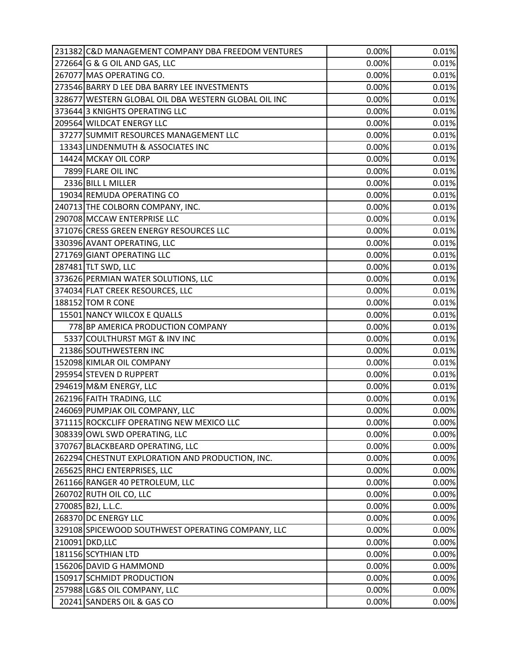| 231382 C&D MANAGEMENT COMPANY DBA FREEDOM VENTURES   | 0.00%    | 0.01%    |
|------------------------------------------------------|----------|----------|
| 272664 G & G OIL AND GAS, LLC                        | 0.00%    | 0.01%    |
| 267077 MAS OPERATING CO.                             | 0.00%    | 0.01%    |
| 273546 BARRY D LEE DBA BARRY LEE INVESTMENTS         | 0.00%    | 0.01%    |
| 328677 WESTERN GLOBAL OIL DBA WESTERN GLOBAL OIL INC | 0.00%    | 0.01%    |
| 373644 3 KNIGHTS OPERATING LLC                       | 0.00%    | 0.01%    |
| 209564 WILDCAT ENERGY LLC                            | 0.00%    | 0.01%    |
| 37277 SUMMIT RESOURCES MANAGEMENT LLC                | 0.00%    | 0.01%    |
| 13343 LINDENMUTH & ASSOCIATES INC                    | 0.00%    | 0.01%    |
| 14424 MCKAY OIL CORP                                 | 0.00%    | 0.01%    |
| 7899 FLARE OIL INC                                   | 0.00%    | 0.01%    |
| 2336 BILL L MILLER                                   | 0.00%    | 0.01%    |
| 19034 REMUDA OPERATING CO                            | 0.00%    | 0.01%    |
| 240713 THE COLBORN COMPANY, INC.                     | 0.00%    | 0.01%    |
| 290708 MCCAW ENTERPRISE LLC                          | 0.00%    | 0.01%    |
| 371076 CRESS GREEN ENERGY RESOURCES LLC              | 0.00%    | 0.01%    |
| 330396 AVANT OPERATING, LLC                          | 0.00%    | 0.01%    |
| 271769 GIANT OPERATING LLC                           | 0.00%    | 0.01%    |
| 287481 TLT SWD, LLC                                  | 0.00%    | 0.01%    |
| 373626 PERMIAN WATER SOLUTIONS, LLC                  | 0.00%    | 0.01%    |
| 374034 FLAT CREEK RESOURCES, LLC                     | 0.00%    | 0.01%    |
| 188152 TOM R CONE                                    | 0.00%    | 0.01%    |
| 15501 NANCY WILCOX E QUALLS                          | 0.00%    | 0.01%    |
| 778 BP AMERICA PRODUCTION COMPANY                    | 0.00%    | 0.01%    |
| 5337 COULTHURST MGT & INV INC                        | 0.00%    | 0.01%    |
| 21386 SOUTHWESTERN INC                               | 0.00%    | 0.01%    |
| 152098 KIMLAR OIL COMPANY                            | 0.00%    | 0.01%    |
| 295954 STEVEN D RUPPERT                              | 0.00%    | 0.01%    |
| 294619 M&M ENERGY, LLC                               | 0.00%    | 0.01%    |
| 262196 FAITH TRADING, LLC                            | 0.00%    | 0.01%    |
| 246069 PUMPJAK OIL COMPANY, LLC                      | 0.00%    | 0.00%    |
| 371115 ROCKCLIFF OPERATING NEW MEXICO LLC            | $0.00\%$ | $0.00\%$ |
| 308339 OWL SWD OPERATING, LLC                        | 0.00%    | 0.00%    |
| 370767 BLACKBEARD OPERATING, LLC                     | 0.00%    | 0.00%    |
| 262294 CHESTNUT EXPLORATION AND PRODUCTION, INC.     | 0.00%    | 0.00%    |
| 265625 RHCJ ENTERPRISES, LLC                         | 0.00%    | 0.00%    |
| 261166 RANGER 40 PETROLEUM, LLC                      | 0.00%    | 0.00%    |
| 260702 RUTH OIL CO, LLC                              | 0.00%    | 0.00%    |
| 270085 B2J, L.L.C.                                   | 0.00%    | 0.00%    |
| 268370 DC ENERGY LLC                                 | 0.00%    | 0.00%    |
| 329108 SPICEWOOD SOUTHWEST OPERATING COMPANY, LLC    | 0.00%    | 0.00%    |
| 210091 DKD, LLC                                      | 0.00%    | 0.00%    |
| 181156 SCYTHIAN LTD                                  | 0.00%    | 0.00%    |
| 156206 DAVID G HAMMOND                               | 0.00%    | 0.00%    |
| 150917 SCHMIDT PRODUCTION                            | 0.00%    | 0.00%    |
| 257988 LG&S OIL COMPANY, LLC                         | 0.00%    | 0.00%    |
| 20241 SANDERS OIL & GAS CO                           | 0.00%    | 0.00%    |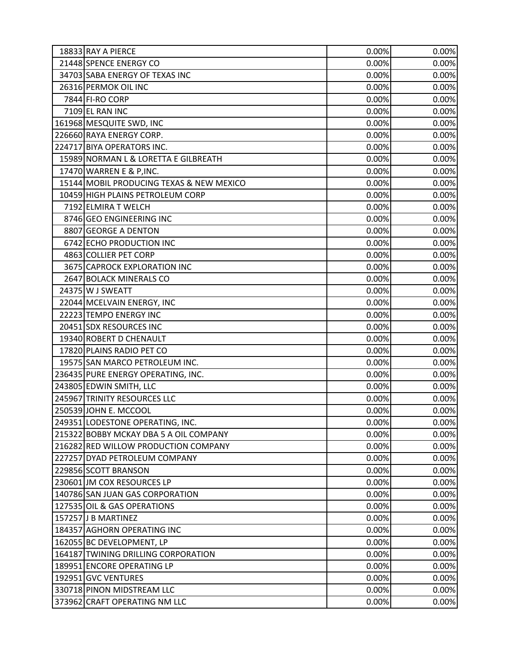| 18833 RAY A PIERCE                       | 0.00% | 0.00% |
|------------------------------------------|-------|-------|
| 21448 SPENCE ENERGY CO                   | 0.00% | 0.00% |
| 34703 SABA ENERGY OF TEXAS INC           | 0.00% | 0.00% |
| 26316 PERMOK OIL INC                     | 0.00% | 0.00% |
| 7844 FI-RO CORP                          | 0.00% | 0.00% |
| 7109 EL RAN INC                          | 0.00% | 0.00% |
| 161968 MESQUITE SWD, INC                 | 0.00% | 0.00% |
| 226660 RAYA ENERGY CORP.                 | 0.00% | 0.00% |
| 224717 BIYA OPERATORS INC.               | 0.00% | 0.00% |
| 15989 NORMAN L & LORETTA E GILBREATH     | 0.00% | 0.00% |
| 17470 WARREN E & P, INC.                 | 0.00% | 0.00% |
| 15144 MOBIL PRODUCING TEXAS & NEW MEXICO | 0.00% | 0.00% |
| 10459 HIGH PLAINS PETROLEUM CORP         | 0.00% | 0.00% |
| 7192 ELMIRA T WELCH                      | 0.00% | 0.00% |
| 8746 GEO ENGINEERING INC                 | 0.00% | 0.00% |
| 8807 GEORGE A DENTON                     | 0.00% | 0.00% |
| 6742 ECHO PRODUCTION INC                 | 0.00% | 0.00% |
| 4863 COLLIER PET CORP                    | 0.00% | 0.00% |
| 3675 CAPROCK EXPLORATION INC             | 0.00% | 0.00% |
| 2647 BOLACK MINERALS CO                  | 0.00% | 0.00% |
| 24375 W J SWEATT                         | 0.00% | 0.00% |
| 22044 MCELVAIN ENERGY, INC               | 0.00% | 0.00% |
| 22223 TEMPO ENERGY INC                   | 0.00% | 0.00% |
| 20451 SDX RESOURCES INC                  | 0.00% | 0.00% |
| 19340 ROBERT D CHENAULT                  | 0.00% | 0.00% |
| 17820 PLAINS RADIO PET CO                | 0.00% | 0.00% |
| 19575 SAN MARCO PETROLEUM INC.           | 0.00% | 0.00% |
| 236435 PURE ENERGY OPERATING, INC.       | 0.00% | 0.00% |
| 243805 EDWIN SMITH, LLC                  | 0.00% | 0.00% |
| 245967 TRINITY RESOURCES LLC             | 0.00% | 0.00% |
| 250539 JOHN E. MCCOOL                    | 0.00% | 0.00% |
| 249351 LODESTONE OPERATING, INC.         | 0.00% | 0.00% |
| 215322 BOBBY MCKAY DBA 5 A OIL COMPANY   | 0.00% | 0.00% |
| 216282 RED WILLOW PRODUCTION COMPANY     | 0.00% | 0.00% |
| 227257 DYAD PETROLEUM COMPANY            | 0.00% | 0.00% |
| 229856 SCOTT BRANSON                     | 0.00% | 0.00% |
| 230601 JM COX RESOURCES LP               | 0.00% | 0.00% |
| 140786 SAN JUAN GAS CORPORATION          | 0.00% | 0.00% |
| 127535 OIL & GAS OPERATIONS              | 0.00% | 0.00% |
| 157257 J B MARTINEZ                      | 0.00% | 0.00% |
| 184357 AGHORN OPERATING INC              | 0.00% | 0.00% |
| 162055 BC DEVELOPMENT, LP                | 0.00% | 0.00% |
| 164187 TWINING DRILLING CORPORATION      | 0.00% | 0.00% |
| 189951 ENCORE OPERATING LP               | 0.00% | 0.00% |
| 192951 GVC VENTURES                      | 0.00% | 0.00% |
| 330718 PINON MIDSTREAM LLC               | 0.00% | 0.00% |
| 373962 CRAFT OPERATING NM LLC            | 0.00% | 0.00% |